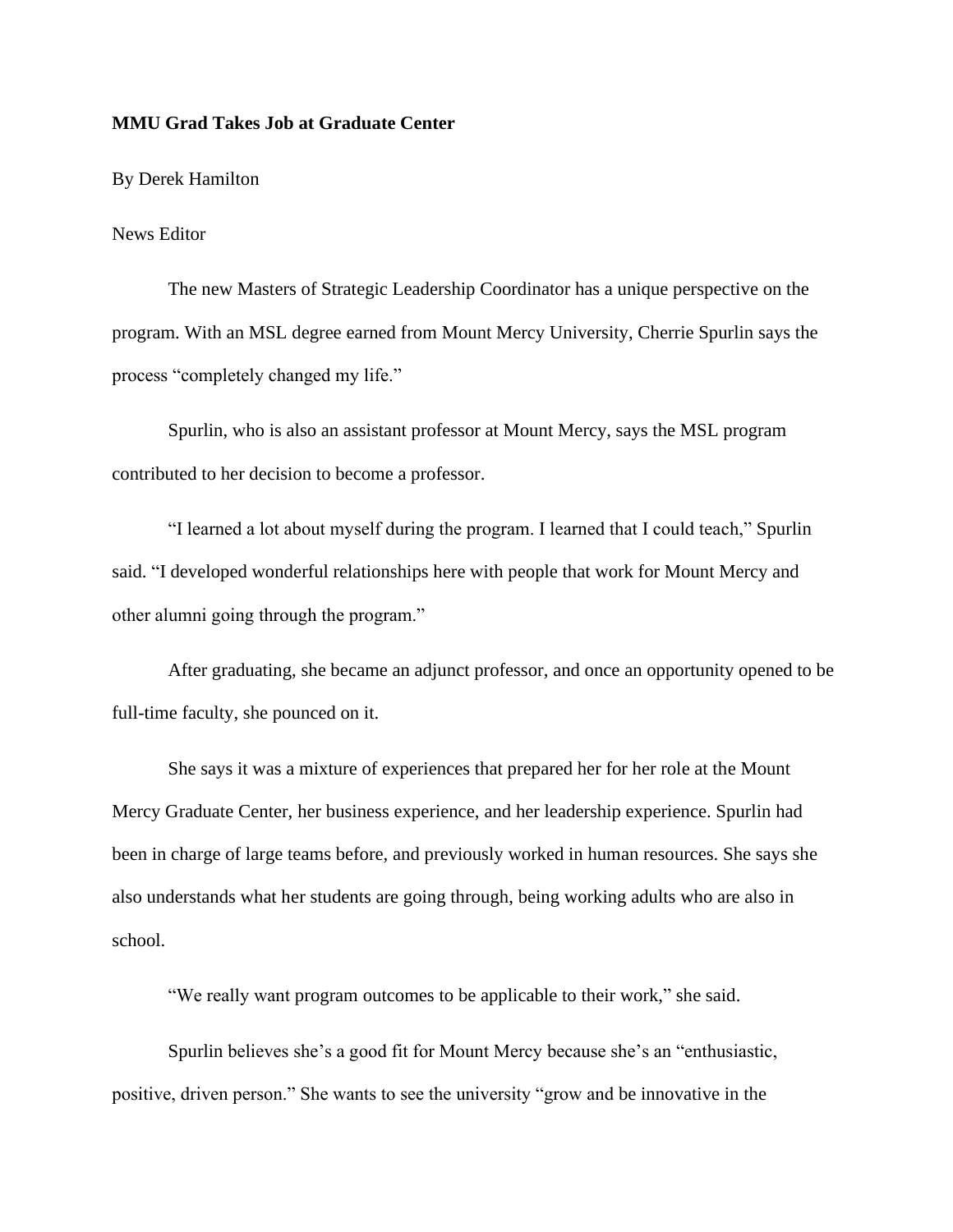## **MMU Grad Takes Job at Graduate Center**

By Derek Hamilton

## News Editor

The new Masters of Strategic Leadership Coordinator has a unique perspective on the program. With an MSL degree earned from Mount Mercy University, Cherrie Spurlin says the process "completely changed my life."

Spurlin, who is also an assistant professor at Mount Mercy, says the MSL program contributed to her decision to become a professor.

"I learned a lot about myself during the program. I learned that I could teach," Spurlin said. "I developed wonderful relationships here with people that work for Mount Mercy and other alumni going through the program."

After graduating, she became an adjunct professor, and once an opportunity opened to be full-time faculty, she pounced on it.

She says it was a mixture of experiences that prepared her for her role at the Mount Mercy Graduate Center, her business experience, and her leadership experience. Spurlin had been in charge of large teams before, and previously worked in human resources. She says she also understands what her students are going through, being working adults who are also in school.

"We really want program outcomes to be applicable to their work," she said.

Spurlin believes she's a good fit for Mount Mercy because she's an "enthusiastic, positive, driven person." She wants to see the university "grow and be innovative in the